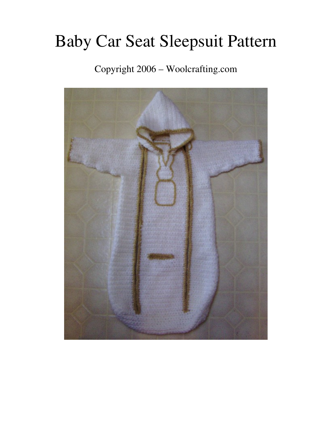# Baby Car Seat Sleepsuit Pattern

# Copyright 2006 – Woolcrafting.com

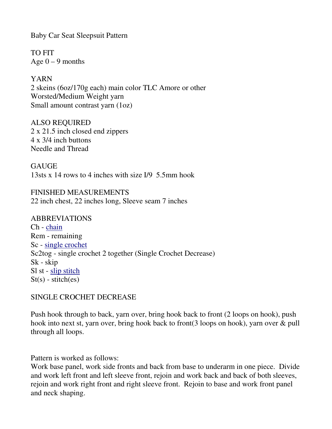Baby Car Seat Sleepsuit Pattern

TO FIT Age  $0 - 9$  months

YARN 2 skeins (6oz/170g each) main color TLC Amore or other Worsted/Medium Weight yarn Small amount contrast yarn (1oz)

ALSO REQUIRED 2 x 21.5 inch closed end zippers 4 x 3/4 inch buttons Needle and Thread

**GAUGE** 13sts x 14 rows to 4 inches with size I/9 5.5mm hook

FINISHED MEASUREMENTS 22 inch chest, 22 inches long, Sleeve seam 7 inches

ABBREVIATIONS Ch - chain Rem - remaining Sc - single crochet Sc2tog - single crochet 2 together (Single Crochet Decrease) Sk - skip Sl st - slip stitch  $St(s)$  - stitch(es)

SINGLE CROCHET DECREASE

Push hook through to back, yarn over, bring hook back to front (2 loops on hook), push hook into next st, yarn over, bring hook back to front(3 loops on hook), yarn over & pull through all loops.

Pattern is worked as follows:

Work base panel, work side fronts and back from base to underarm in one piece. Divide and work left front and left sleeve front, rejoin and work back and back of both sleeves, rejoin and work right front and right sleeve front. Rejoin to base and work front panel and neck shaping.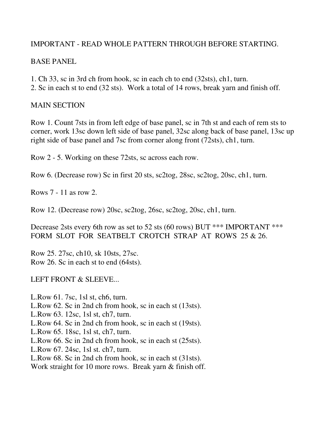# IMPORTANT - READ WHOLE PATTERN THROUGH BEFORE STARTING.

# BASE PANEL

- 1. Ch 33, sc in 3rd ch from hook, sc in each ch to end (32sts), ch1, turn.
- 2. Sc in each st to end (32 sts). Work a total of 14 rows, break yarn and finish off.

### MAIN SECTION

Row 1. Count 7sts in from left edge of base panel, sc in 7th st and each of rem sts to corner, work 13sc down left side of base panel, 32sc along back of base panel, 13sc up right side of base panel and 7sc from corner along front (72sts), ch1, turn.

Row 2 - 5. Working on these 72sts, sc across each row.

Row 6. (Decrease row) Sc in first 20 sts, sc2tog, 28sc, sc2tog, 20sc, ch1, turn.

Rows 7 - 11 as row 2.

Row 12. (Decrease row) 20sc, sc2tog, 26sc, sc2tog, 20sc, ch1, turn.

Decrease 2sts every 6th row as set to 52 sts (60 rows) BUT \*\*\* IMPORTANT \*\*\* FORM SLOT FOR SEATBELT CROTCH STRAP AT ROWS 25 & 26.

Row 25. 27sc, ch10, sk 10sts, 27sc. Row 26. Sc in each st to end (64sts).

#### LEFT FRONT & SLEEVE...

- L.Row 61. 7sc, 1sl st, ch6, turn.
- L.Row 62. Sc in 2nd ch from hook, sc in each st (13sts).
- L.Row 63. 12sc, 1sl st, ch7, turn.
- L.Row 64. Sc in 2nd ch from hook, sc in each st (19sts).
- L.Row 65. 18sc, 1sl st, ch7, turn.
- L.Row 66. Sc in 2nd ch from hook, sc in each st (25sts).
- L.Row 67. 24sc, 1sl st. ch7, turn.
- L.Row 68. Sc in 2nd ch from hook, sc in each st (31sts).

Work straight for 10 more rows. Break yarn & finish off.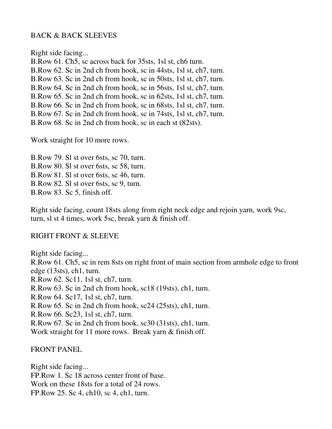#### BACK & BACK SLEEVES

Right side facing... B.Row 61. Ch5, sc across back for 35sts, 1sl st, ch6 turn. B.Row 62. Sc in 2nd ch from hook, sc in 44sts, 1sl st, ch7, turn. B.Row 63. Sc in 2nd ch from hook, sc in 50sts, 1sl st, ch7, turn. B.Row 64. Sc in 2nd ch from hook, sc in 56sts, 1sl st, ch7, turn. B.Row 65. Sc in 2nd ch from hook, sc in 62sts, 1sl st, ch7, turn. B.Row 66. Sc in 2nd ch from hook, sc in 68sts, 1sl st, ch7, turn. B.Row 67. Sc in 2nd ch from hook, sc in 74sts, 1sl st, ch7, turn. B.Row 68. Sc in 2nd ch from hook, sc in each st (82sts).

Work straight for 10 more rows.

B.Row 79. Sl st over 6sts, sc 70, turn. B.Row 80. Sl st over 6sts, sc 58, turn. B.Row 81. Sl st over 6sts, sc 46, turn. B.Row 82. Sl st over 6sts, sc 9, turn. B.Row 83. Sc 5, finish off.

Right side facing, count 18sts along from right neck edge and rejoin yarn, work 9sc, turn, sl st 4 times, work 5sc, break yarn & finish off.

#### RIGHT FRONT & SLEEVE

Right side facing...

R.Row 61. Ch5, sc in rem 8sts on right front of main section from armhole edge to front edge (13sts), ch1, turn.

R.Row 62. Sc11, 1sl st, ch7, turn.

R.Row 63. Sc in 2nd ch from hook, sc18 (19sts), ch1, turn.

R.Row 64. Sc17, 1sl st, ch7, turn.

R.Row 65. Sc in 2nd ch from hook, sc24 (25sts), ch1, turn.

R.Row 66. Sc23, 1sl st, ch7, turn.

R.Row 67. Sc in 2nd ch from hook, sc30 (31sts), ch1, turn.

Work straight for 11 more rows. Break yarn & finish off.

#### FRONT PANEL

Right side facing... FP.Row 1. Sc 18 across center front of base. Work on these 18sts for a total of 24 rows. FP.Row 25. Sc 4, ch10, sc 4, ch1, turn.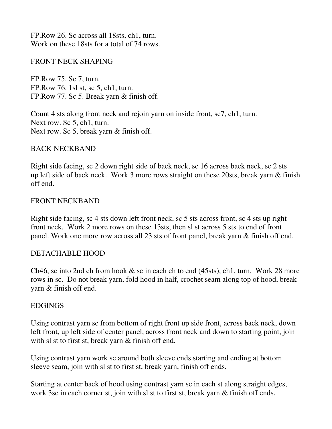FP.Row 26. Sc across all 18sts, ch1, turn. Work on these 18sts for a total of 74 rows.

## FRONT NECK SHAPING

FP.Row 75. Sc 7, turn. FP.Row 76. 1sl st, sc 5, ch1, turn. FP.Row 77. Sc 5. Break yarn & finish off.

Count 4 sts along front neck and rejoin yarn on inside front, sc7, ch1, turn. Next row. Sc 5, ch1, turn. Next row. Sc 5, break yarn & finish off.

#### BACK NECKBAND

Right side facing, sc 2 down right side of back neck, sc 16 across back neck, sc 2 sts up left side of back neck. Work 3 more rows straight on these 20sts, break yarn & finish off end.

#### FRONT NECKBAND

Right side facing, sc 4 sts down left front neck, sc 5 sts across front, sc 4 sts up right front neck. Work 2 more rows on these 13sts, then sl st across 5 sts to end of front panel. Work one more row across all 23 sts of front panel, break yarn & finish off end.

#### DETACHABLE HOOD

Ch46, sc into 2nd ch from hook  $\&$  sc in each ch to end (45sts), ch1, turn. Work 28 more rows in sc. Do not break yarn, fold hood in half, crochet seam along top of hood, break yarn & finish off end.

#### EDGINGS

Using contrast yarn sc from bottom of right front up side front, across back neck, down left front, up left side of center panel, across front neck and down to starting point, join with sl st to first st, break yarn & finish off end.

Using contrast yarn work sc around both sleeve ends starting and ending at bottom sleeve seam, join with sl st to first st, break yarn, finish off ends.

Starting at center back of hood using contrast yarn sc in each st along straight edges, work 3sc in each corner st, join with sl st to first st, break yarn & finish off ends.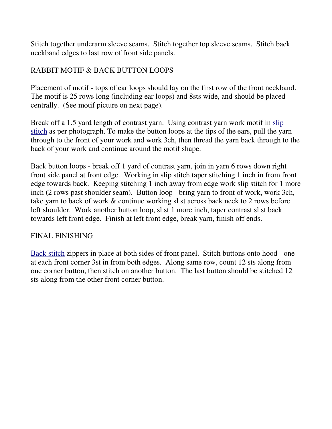Stitch together underarm sleeve seams. Stitch together top sleeve seams. Stitch back neckband edges to last row of front side panels.

# RABBIT MOTIF & BACK BUTTON LOOPS

Placement of motif - tops of ear loops should lay on the first row of the front neckband. The motif is 25 rows long (including ear loops) and 8sts wide, and should be placed centrally. (See motif picture on next page).

Break off a 1.5 yard length of contrast yarn. Using contrast yarn work motif in slip stitch as per photograph. To make the button loops at the tips of the ears, pull the yarn through to the front of your work and work 3ch, then thread the yarn back through to the back of your work and continue around the motif shape.

Back button loops - break off 1 yard of contrast yarn, join in yarn 6 rows down right front side panel at front edge. Working in slip stitch taper stitching 1 inch in from front edge towards back. Keeping stitching 1 inch away from edge work slip stitch for 1 more inch (2 rows past shoulder seam). Button loop - bring yarn to front of work, work 3ch, take yarn to back of work & continue working sl st across back neck to 2 rows before left shoulder. Work another button loop, sl st 1 more inch, taper contrast sl st back towards left front edge. Finish at left front edge, break yarn, finish off ends.

# FINAL FINISHING

Back stitch zippers in place at both sides of front panel. Stitch buttons onto hood - one at each front corner 3st in from both edges. Along same row, count 12 sts along from one corner button, then stitch on another button. The last button should be stitched 12 sts along from the other front corner button.